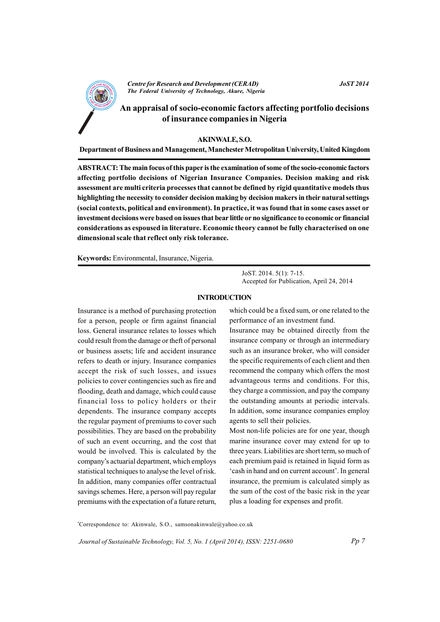

**Centre for Research and Development (CERAD)** The Federal University of Technology, Akure, Nigeria **JoST 2014** 

# An appraisal of socio-economic factors affecting portfolio decisions of insurance companies in Nigeria

#### **AKINWALE, S.O.**

Department of Business and Management, Manchester Metropolitan University, United Kingdom

ABSTRACT: The main focus of this paper is the examination of some of the socio-economic factors affecting portfolio decisions of Nigerian Insurance Companies. Decision making and risk assessment are multi criteria processes that cannot be defined by rigid quantitative models thus highlighting the necessity to consider decision making by decision makers in their natural settings (social contexts, political and environment). In practice, it was found that in some cases asset or investment decisions were based on issues that bear little or no significance to economic or financial considerations as espoused in literature. Economic theory cannot be fully characterised on one dimensional scale that reflect only risk tolerance.

Keywords: Environmental, Insurance, Nigeria.

JoST, 2014, 5(1): 7-15. Accepted for Publication, April 24, 2014

#### **INTRODUCTION**

Insurance is a method of purchasing protection for a person, people or firm against financial loss. General insurance relates to losses which could result from the damage or theft of personal or business assets; life and accident insurance refers to death or injury. Insurance companies accept the risk of such losses, and issues policies to cover contingencies such as fire and flooding, death and damage, which could cause financial loss to policy holders or their dependents. The insurance company accepts the regular payment of premiums to cover such possibilities. They are based on the probability of such an event occurring, and the cost that would be involved. This is calculated by the company's actuarial department, which employs statistical techniques to analyse the level of risk. In addition, many companies offer contractual savings schemes. Here, a person will pay regular premiums with the expectation of a future return, which could be a fixed sum, or one related to the performance of an investment fund.

Insurance may be obtained directly from the insurance company or through an intermediary such as an insurance broker, who will consider the specific requirements of each client and then recommend the company which offers the most advantageous terms and conditions. For this, they charge a commission, and pay the company the outstanding amounts at periodic intervals. In addition, some insurance companies employ agents to sell their policies.

Most non-life policies are for one year, though marine insurance cover may extend for up to three years. Liabilities are short term, so much of each premium paid is retained in liquid form as 'cash in hand and on current account'. In general insurance, the premium is calculated simply as the sum of the cost of the basic risk in the year plus a loading for expenses and profit.

\*Correspondence to: Akinwale, S.O., samsonakinwale@yahoo.co.uk

Journal of Sustainable Technology, Vol. 5, No. 1 (April 2014), ISSN: 2251-0680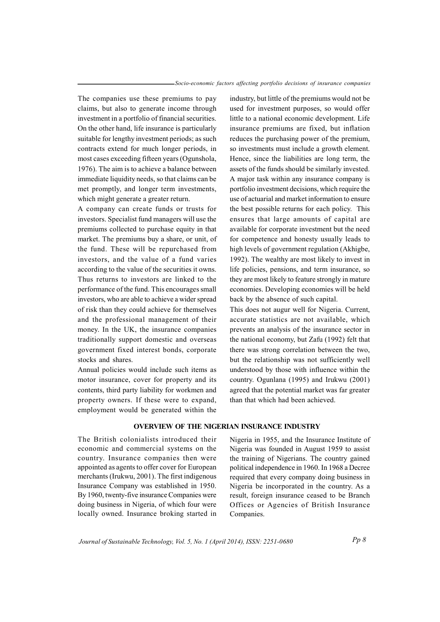The companies use these premiums to pay claims, but also to generate income through investment in a portfolio of financial securities. On the other hand, life insurance is particularly suitable for lengthy investment periods; as such contracts extend for much longer periods, in most cases exceeding fifteen years (Ogunshola, 1976). The aim is to achieve a balance between immediate liquidity needs, so that claims can be met promptly, and longer term investments, which might generate a greater return.

A company can create funds or trusts for investors. Specialist fund managers will use the premiums collected to purchase equity in that market. The premiums buy a share, or unit, of the fund. These will be repurchased from investors, and the value of a fund varies according to the value of the securities it owns. Thus returns to investors are linked to the performance of the fund. This encourages small investors, who are able to achieve a wider spread of risk than they could achieve for themselves and the professional management of their money. In the UK, the insurance companies traditionally support domestic and overseas government fixed interest bonds, corporate stocks and shares.

Annual policies would include such items as motor insurance, cover for property and its contents, third party liability for workmen and property owners. If these were to expand, employment would be generated within the

industry, but little of the premiums would not be used for investment purposes, so would offer little to a national economic development. Life insurance premiums are fixed, but inflation reduces the purchasing power of the premium. so investments must include a growth element. Hence, since the liabilities are long term, the assets of the funds should be similarly invested. A major task within any insurance company is portfolio investment decisions, which require the use of actuarial and market information to ensure the best possible returns for each policy. This ensures that large amounts of capital are available for corporate investment but the need for competence and honesty usually leads to high levels of government regulation (Akhigbe, 1992). The wealthy are most likely to invest in life policies, pensions, and term insurance, so they are most likely to feature strongly in mature economies. Developing economies will be held back by the absence of such capital.

This does not augur well for Nigeria. Current, accurate statistics are not available, which prevents an analysis of the insurance sector in the national economy, but Zafu (1992) felt that there was strong correlation between the two, but the relationship was not sufficiently well understood by those with influence within the country. Ogunlana (1995) and Irukwu (2001) agreed that the potential market was far greater than that which had been achieved.

## **OVERVIEW OF THE NIGERIAN INSURANCE INDUSTRY**

The British colonialists introduced their economic and commercial systems on the country. Insurance companies then were appointed as agents to offer cover for European merchants (Irukwu, 2001). The first indigenous Insurance Company was established in 1950. By 1960, twenty-five insurance Companies were doing business in Nigeria, of which four were locally owned. Insurance broking started in Nigeria in 1955, and the Insurance Institute of Nigeria was founded in August 1959 to assist the training of Nigerians. The country gained political independence in 1960. In 1968 a Decree required that every company doing business in Nigeria be incorporated in the country. As a result, foreign insurance ceased to be Branch Offices or Agencies of British Insurance Companies.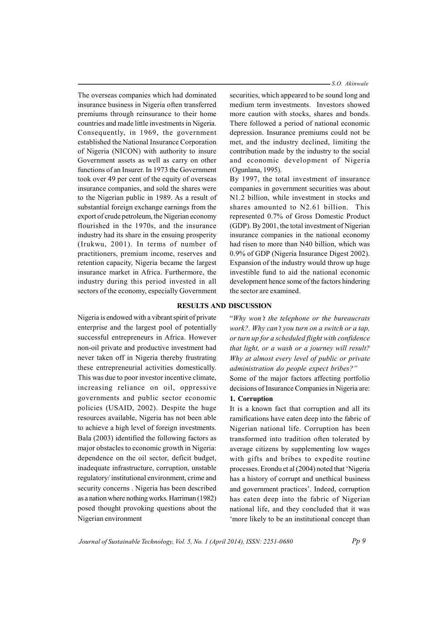The overseas companies which had dominated insurance business in Nigeria often transferred premiums through reinsurance to their home countries and made little investments in Nigeria. Consequently, in 1969, the government established the National Insurance Corporation of Nigeria (NICON) with authority to insure Government assets as well as carry on other functions of an Insurer. In 1973 the Government took over 49 per cent of the equity of overseas insurance companies, and sold the shares were to the Nigerian public in 1989. As a result of substantial foreign exchange earnings from the export of crude petroleum, the Nigerian economy flourished in the 1970s, and the insurance industry had its share in the ensuing prosperity (Irukwu, 2001). In terms of number of practitioners, premium income, reserves and retention capacity, Nigeria became the largest insurance market in Africa. Furthermore, the industry during this period invested in all sectors of the economy, especially Government

- S.O. Akinwale

securities, which appeared to be sound long and medium term investments. Investors showed more caution with stocks, shares and bonds. There followed a period of national economic depression. Insurance premiums could not be met, and the industry declined, limiting the contribution made by the industry to the social and economic development of Nigeria (Ogunlana, 1995).

By 1997, the total investment of insurance companies in government securities was about N1.2 billion, while investment in stocks and shares amounted to N2.61 billion. This represented 0.7% of Gross Domestic Product (GDP). By 2001, the total investment of Nigerian insurance companies in the national economy had risen to more than N40 billion, which was 0.9% of GDP (Nigeria Insurance Digest 2002). Expansion of the industry would throw up huge investible fund to aid the national economic development hence some of the factors hindering the sector are examined.

### **RESULTS AND DISCUSSION**

Nigeria is endowed with a vibrant spirit of private enterprise and the largest pool of potentially successful entrepreneurs in Africa. However non-oil private and productive investment had never taken off in Nigeria thereby frustrating these entrepreneurial activities domestically. This was due to poor investor incentive climate, increasing reliance on oil, oppressive governments and public sector economic policies (USAID, 2002). Despite the huge resources available. Nigeria has not been able to achieve a high level of foreign investments. Bala (2003) identified the following factors as major obstacles to economic growth in Nigeria: dependence on the oil sector, deficit budget, inadequate infrastructure, corruption, unstable regulatory/institutional environment, crime and security concerns. Nigeria has been described as a nation where nothing works. Harriman (1982) posed thought provoking questions about the Nigerian environment

"Why won't the telephone or the bureaucrats work?. Why can't you turn on a switch or a tap, or turn up for a scheduled flight with confidence that light, or a wash or a journey will result? Why at almost every level of public or private administration do people expect bribes?" Some of the major factors affecting portfolio

decisions of Insurance Companies in Nigeria are: 1. Corruption

It is a known fact that corruption and all its ramifications have eaten deep into the fabric of Nigerian national life. Corruption has been transformed into tradition often tolerated by average citizens by supplementing low wages with gifts and bribes to expedite routine processes. Erondu et al (2004) noted that 'Nigeria has a history of corrupt and unethical business and government practices'. Indeed, corruption has eaten deep into the fabric of Nigerian national life, and they concluded that it was 'more likely to be an institutional concept than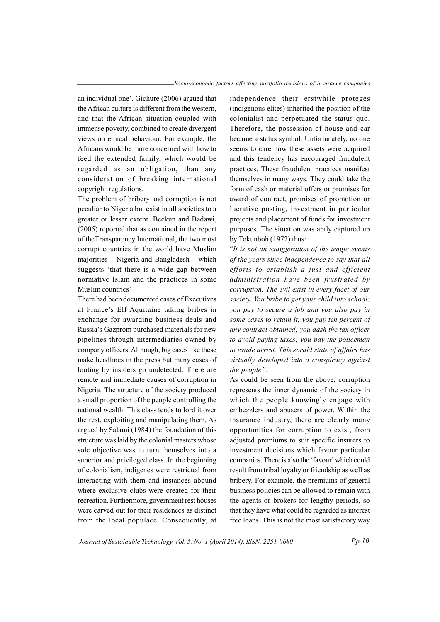an individual one'. Gichure (2006) argued that the African culture is different from the western, and that the African situation coupled with immense poverty, combined to create divergent views on ethical behaviour. For example, the Africans would be more concerned with how to feed the extended family, which would be regarded as an obligation, than any consideration of breaking international copyright regulations.

The problem of bribery and corruption is not peculiar to Nigeria but exist in all societies to a greater or lesser extent. Beekun and Badawi, (2005) reported that as contained in the report of the Transparency International, the two most corrupt countries in the world have Muslim majorities – Nigeria and Bangladesh – which suggests 'that there is a wide gap between normative Islam and the practices in some Muslim countries'

There had been documented cases of Executives at France's Elf Aquitaine taking bribes in exchange for awarding business deals and Russia's Gazprom purchased materials for new pipelines through intermediaries owned by company officers. Although, big cases like these make headlines in the press but many cases of looting by insiders go undetected. There are remote and immediate causes of corruption in Nigeria. The structure of the society produced a small proportion of the people controlling the national wealth. This class tends to lord it over the rest, exploiting and manipulating them. As argued by Salami (1984) the foundation of this structure was laid by the colonial masters whose sole objective was to turn themselves into a superior and privileged class. In the beginning of colonialism, indigenes were restricted from interacting with them and instances abound where exclusive clubs were created for their recreation. Furthermore, government rest houses were carved out for their residences as distinct from the local populace. Consequently, at

independence their erstwhile protégés (indigenous elites) inherited the position of the colonialist and perpetuated the status quo. Therefore, the possession of house and car became a status symbol. Unfortunately, no one seems to care how these assets were acquired and this tendency has encouraged fraudulent practices. These fraudulent practices manifest themselves in many ways. They could take the form of cash or material offers or promises for award of contract, promises of promotion or lucrative posting, investment in particular projects and placement of funds for investment purposes. The situation was aptly captured up by Tokunboh (1972) thus:

"It is not an exaggeration of the tragic events" of the years since independence to say that all efforts to establish a just and efficient administration have been frustrated by corruption. The evil exist in every facet of our society. You bribe to get your child into school; you pay to secure a job and you also pay in some cases to retain it; you pay ten percent of any contract obtained; you dash the tax officer to avoid paying taxes; you pay the policeman to evade arrest. This sordid state of affairs has virtually developed into a conspiracy against the people".

As could be seen from the above, corruption represents the inner dynamic of the society in which the people knowingly engage with embezzlers and abusers of power. Within the insurance industry, there are clearly many opportunities for corruption to exist, from adjusted premiums to suit specific insurers to investment decisions which favour particular companies. There is also the 'favour' which could result from tribal loyalty or friendship as well as bribery. For example, the premiums of general business policies can be allowed to remain with the agents or brokers for lengthy periods, so that they have what could be regarded as interest free loans. This is not the most satisfactory way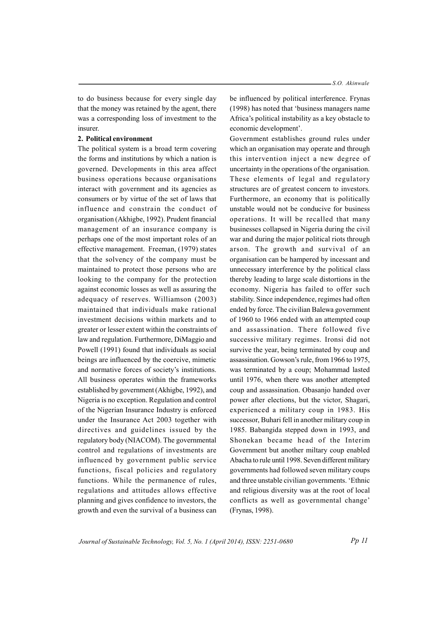to do business because for every single day that the money was retained by the agent, there was a corresponding loss of investment to the insurer.

#### 2. Political environment

The political system is a broad term covering the forms and institutions by which a nation is governed. Developments in this area affect business operations because organisations interact with government and its agencies as consumers or by virtue of the set of laws that influence and constrain the conduct of organisation (Akhigbe, 1992). Prudent financial management of an insurance company is perhaps one of the most important roles of an effective management. Freeman, (1979) states that the solvency of the company must be maintained to protect those persons who are looking to the company for the protection against economic losses as well as assuring the adequacy of reserves. Williamson (2003) maintained that individuals make rational investment decisions within markets and to greater or lesser extent within the constraints of law and regulation. Furthermore, DiMaggio and Powell (1991) found that individuals as social beings are influenced by the coercive, mimetic and normative forces of society's institutions. All business operates within the frameworks established by government (Akhigbe, 1992), and Nigeria is no exception. Regulation and control of the Nigerian Insurance Industry is enforced under the Insurance Act 2003 together with directives and guidelines issued by the regulatory body (NIACOM). The governmental control and regulations of investments are influenced by government public service functions, fiscal policies and regulatory functions. While the permanence of rules, regulations and attitudes allows effective planning and gives confidence to investors, the growth and even the survival of a business can

be influenced by political interference. Frynas (1998) has noted that 'business managers name Africa's political instability as a key obstacle to economic development'.

Government establishes ground rules under which an organisation may operate and through this intervention inject a new degree of uncertainty in the operations of the organisation. These elements of legal and regulatory structures are of greatest concern to investors. Furthermore, an economy that is politically unstable would not be conducive for business operations. It will be recalled that many businesses collapsed in Nigeria during the civil war and during the major political riots through arson. The growth and survival of an organisation can be hampered by incessant and unnecessary interference by the political class thereby leading to large scale distortions in the economy. Nigeria has failed to offer such stability. Since independence, regimes had often ended by force. The civilian Balewa government of 1960 to 1966 ended with an attempted coup and assassination. There followed five successive military regimes. Ironsi did not survive the year, being terminated by coup and assassination. Gowson's rule, from 1966 to 1975, was terminated by a coup; Mohammad lasted until 1976, when there was another attempted coup and assassination. Obasanjo handed over power after elections, but the victor, Shagari, experienced a military coup in 1983. His successor, Buhari fell in another military coup in 1985. Babangida stepped down in 1993, and Shonekan became head of the Interim Government but another miltary coup enabled Abacha to rule until 1998. Seven different military governments had followed seven military coups and three unstable civilian governments. 'Ethnic and religious diversity was at the root of local conflicts as well as governmental change' (Frynas, 1998).

Journal of Sustainable Technology, Vol. 5, No. 1 (April 2014), ISSN: 2251-0680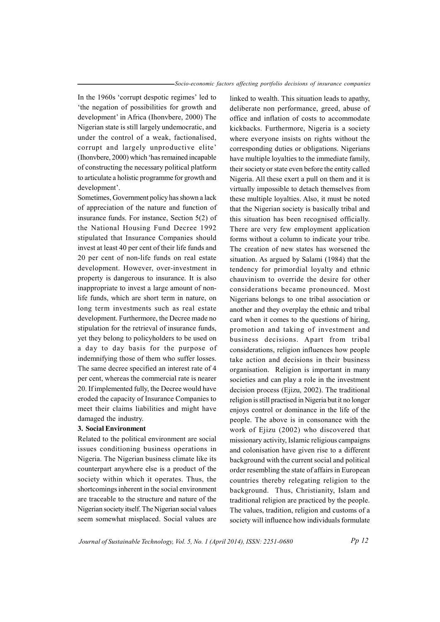In the 1960s 'corrupt despotic regimes' led to 'the negation of possibilities for growth and development' in Africa (Ihonvbere, 2000) The Nigerian state is still largely undemocratic, and under the control of a weak, factionalised, corrupt and largely unproductive elite' (Ihonybere, 2000) which 'has remained incapable of constructing the necessary political platform to articulate a holistic programme for growth and development'.

Sometimes, Government policy has shown a lack of appreciation of the nature and function of insurance funds. For instance, Section  $5(2)$  of the National Housing Fund Decree 1992 stipulated that Insurance Companies should invest at least 40 per cent of their life funds and 20 per cent of non-life funds on real estate development. However, over-investment in property is dangerous to insurance. It is also inappropriate to invest a large amount of nonlife funds, which are short term in nature, on long term investments such as real estate development. Furthermore, the Decree made no stipulation for the retrieval of insurance funds, yet they belong to policyholders to be used on a day to day basis for the purpose of indemnifying those of them who suffer losses. The same decree specified an interest rate of 4 per cent, whereas the commercial rate is nearer 20. If implemented fully, the Decree would have eroded the capacity of Insurance Companies to meet their claims liabilities and might have damaged the industry.

#### 3. Social Environment

Related to the political environment are social issues conditioning business operations in Nigeria. The Nigerian business climate like its counterpart anywhere else is a product of the society within which it operates. Thus, the shortcomings inherent in the social environment are traceable to the structure and nature of the Nigerian society itself. The Nigerian social values seem somewhat misplaced. Social values are

linked to wealth. This situation leads to apathy, deliberate non performance, greed, abuse of office and inflation of costs to accommodate kickbacks. Furthermore, Nigeria is a society where everyone insists on rights without the corresponding duties or obligations. Nigerians have multiple loyalties to the immediate family, their society or state even before the entity called Nigeria. All these exert a pull on them and it is virtually impossible to detach themselves from these multiple lovalties. Also, it must be noted that the Nigerian society is basically tribal and this situation has been recognised officially. There are very few employment application forms without a column to indicate your tribe. The creation of new states has worsened the situation. As argued by Salami (1984) that the tendency for primordial loyalty and ethnic chauvinism to override the desire for other considerations became pronounced. Most Nigerians belongs to one tribal association or another and they overplay the ethnic and tribal card when it comes to the questions of hiring, promotion and taking of investment and business decisions. Apart from tribal considerations, religion influences how people take action and decisions in their business organisation. Religion is important in many societies and can play a role in the investment decision process (Ejizu, 2002). The traditional religion is still practised in Nigeria but it no longer enjoys control or dominance in the life of the people. The above is in consonance with the work of Ejizu (2002) who discovered that missionary activity, Islamic religious campaigns and colonisation have given rise to a different background with the current social and political order resembling the state of affairs in European countries thereby relegating religion to the background. Thus, Christianity, Islam and traditional religion are practiced by the people. The values, tradition, religion and customs of a society will influence how individuals formulate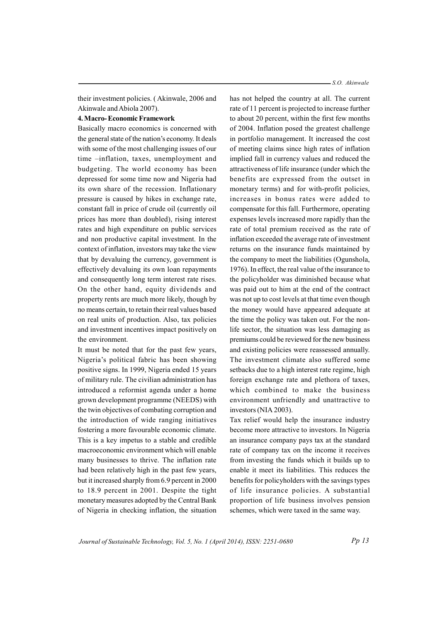their investment policies. (Akinwale, 2006 and Akinwale and Abiola 2007).

#### 4. Macro-Economic Framework

Basically macro economics is concerned with the general state of the nation's economy. It deals with some of the most challenging issues of our time -inflation, taxes, unemployment and budgeting. The world economy has been depressed for some time now and Nigeria had its own share of the recession. Inflationary pressure is caused by hikes in exchange rate. constant fall in price of crude oil (currently oil) prices has more than doubled), rising interest rates and high expenditure on public services and non productive capital investment. In the context of inflation, investors may take the view that by devaluing the currency, government is effectively devaluing its own loan repayments and consequently long term interest rate rises. On the other hand, equity dividends and property rents are much more likely, though by no means certain, to retain their real values based on real units of production. Also, tax policies and investment incentives impact positively on the environment.

It must be noted that for the past few years, Nigeria's political fabric has been showing positive signs. In 1999, Nigeria ended 15 years of military rule. The civilian administration has introduced a reformist agenda under a home grown development programme (NEEDS) with the twin objectives of combating corruption and the introduction of wide ranging initiatives fostering a more favourable economic climate. This is a key impetus to a stable and credible macroeconomic environment which will enable many businesses to thrive. The inflation rate had been relatively high in the past few years, but it increased sharply from 6.9 percent in 2000 to 18.9 percent in 2001. Despite the tight monetary measures adopted by the Central Bank of Nigeria in checking inflation, the situation has not helped the country at all. The current rate of 11 percent is projected to increase further to about 20 percent, within the first few months of 2004. Inflation posed the greatest challenge in portfolio management. It increased the cost of meeting claims since high rates of inflation implied fall in currency values and reduced the attractiveness of life insurance (under which the benefits are expressed from the outset in monetary terms) and for with-profit policies, increases in bonus rates were added to compensate for this fall. Furthermore, operating expenses levels increased more rapidly than the rate of total premium received as the rate of inflation exceeded the average rate of investment returns on the insurance funds maintained by the company to meet the liabilities (Ogunshola, 1976). In effect, the real value of the insurance to the policyholder was diminished because what was paid out to him at the end of the contract was not up to cost levels at that time even though the money would have appeared adequate at the time the policy was taken out. For the nonlife sector, the situation was less damaging as premiums could be reviewed for the new business and existing policies were reassessed annually. The investment climate also suffered some setbacks due to a high interest rate regime, high foreign exchange rate and plethora of taxes, which combined to make the business environment unfriendly and unattractive to investors (NIA 2003).

Tax relief would help the insurance industry become more attractive to investors. In Nigeria an insurance company pays tax at the standard rate of company tax on the income it receives from investing the funds which it builds up to enable it meet its liabilities. This reduces the benefits for policyholders with the savings types of life insurance policies. A substantial proportion of life business involves pension schemes, which were taxed in the same way.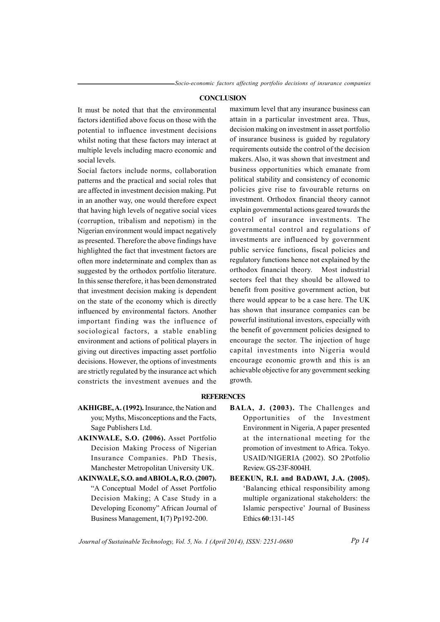#### **CONCLUSION**

It must be noted that that the environmental factors identified above focus on those with the potential to influence investment decisions whilst noting that these factors may interact at multiple levels including macro economic and social levels.

Social factors include norms, collaboration patterns and the practical and social roles that are affected in investment decision making. Put in an another way, one would therefore expect that having high levels of negative social vices (corruption, tribalism and nepotism) in the Nigerian environment would impact negatively as presented. Therefore the above findings have highlighted the fact that investment factors are often more indeterminate and complex than as suggested by the orthodox portfolio literature. In this sense therefore, it has been demonstrated that investment decision making is dependent on the state of the economy which is directly influenced by environmental factors. Another important finding was the influence of sociological factors, a stable enabling environment and actions of political players in giving out directives impacting asset portfolio decisions. However, the options of investments are strictly regulated by the insurance act which constricts the investment avenues and the

maximum level that any insurance business can attain in a particular investment area. Thus, decision making on investment in asset portfolio of insurance business is guided by regulatory requirements outside the control of the decision makers. Also, it was shown that investment and business opportunities which emanate from political stability and consistency of economic policies give rise to favourable returns on investment. Orthodox financial theory cannot explain governmental actions geared towards the control of insurance investments. The governmental control and regulations of investments are influenced by government public service functions, fiscal policies and regulatory functions hence not explained by the orthodox financial theory. Most industrial sectors feel that they should be allowed to benefit from positive government action, but there would appear to be a case here. The UK has shown that insurance companies can be powerful institutional investors, especially with the benefit of government policies designed to encourage the sector. The injection of huge capital investments into Nigeria would encourage economic growth and this is an achievable objective for any government seeking growth.

#### **REFERENCES**

- AKHIGBE, A. (1992). Insurance, the Nation and you; Myths, Misconceptions and the Facts, Sage Publishers Ltd.
- AKINWALE, S.O. (2006). Asset Portfolio Decision Making Process of Nigerian Insurance Companies. PhD Thesis, Manchester Metropolitan University UK.
- AKINWALE, S.O. and ABIOLA, R.O. (2007). "A Conceptual Model of Asset Portfolio Decision Making; A Case Study in a Developing Economy" African Journal of Business Management, 1(7) Pp192-200.
- BALA, J. (2003). The Challenges and Opportunities of the Investment Environment in Nigeria, A paper presented at the international meeting for the promotion of investment to Africa. Tokyo. USAID/NIGERIA (2002). SO 2Potfolio Review. GS-23F-8004H.
- BEEKUN, R.I. and BADAWI, J.A. (2005). 'Balancing ethical responsibility among multiple organizational stakeholders: the Islamic perspective' Journal of Business Ethics 60:131-145

Journal of Sustainable Technology, Vol. 5, No. 1 (April 2014), ISSN: 2251-0680